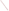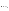# **Technical Factsheet on: METHOXYCHLOR**

# [List of Contaminants](http://www.epa.gov/safewater/hfacts.html)

 As part of the Drinking Water and Health pages, this fact sheet is part of a larger publication: **National Primary Drinking Water Regulations** 

 MCL: 0.04 mg/L Drinking Water Standards MCLG: 0.04 mg/L HAL(child): 1 day: 0.05 mg/L; Longer-term: 0.05 mg/L

# **Health Effects Summary**

Acute: EPA has found methoxychlor to potentially cause central nervous system depression, diarrhea, and damage to liver, kidney and heart tissue from short-term exposures at levels above the MCL.

 consuming 1 liter of water per day, upto a 7-year exposure to 0.05 mg/L. Drinking water levels which are considered "safe" for short-term exposures: For a 10-kg (22 lb.) child

Chronic: Methoxychlor has the potential to damage liver, kidney and heart tissue and to retard growth from long-term exposure at levels above the MCL.

 exposures in drinking water. Cancer: There is no evidence that methoxychlor has the potential to cause cancer from lifetime

## **Usage Patterns**

Methoxychlor is preferred to DDT for use on animals, in animal feed, and on DDT-sensitive crops such as squash, melons, etc. Since methoxychlor is more unstable than DDT, it has less residual effect. Compared to DDT, methoxychlor, is more toxic to some insects & less toxic to others. It has been used extensively in Canada for the control of biting flies, and is also effective against mosquitoes and houseflies.

 700,000 lbs in 1982. Available information indicates production of methoxychlor has decreased: from 3.7 million lbs. in 1978 to

In 1982 it was estimated that industries consumed methoxychlor as follows: 43 percent as an insecticide for livestock and poultry, 29 percent on alfalfa crops and 29 percent on citrus.

## **Release Patterns**

Release of methoxychlor to the environment occurs due to its use as an insecticide for home and garden applications, livestock and poultry, alfalfa, soya beans, forests (Dutch Elm disease) , ornamental shrubs, deciduous fruits and nuts, and vegetables Other sources of release may include loss during the manufacture, formulation, packaging, and disposal of methoxychlor.

 and water totalled only about 2000 lbs. From 1987 to 1993, according to EPA's Toxic Chemical Release Inventory, methoxychlor releases to land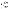# **Environmental Fate**

Methoxychlor does not tend to persist when released to soil or water, and does not accumulate in fish.

 although a small percentage may migrate to lower depths, possibly into groundwater as suggested by the detection of methoxychlor in some groundwater samples. If released to soil, methoxychlor is expected to remain immobilized primarily in the upper layer of soil

Measured soil sorption coefficient (Koc) values in various soil are as follows: 9700 to 41,000 in sand, 80,000 to 86,000 in coarse silt, 73,000 to 100,000 in medium silt, 80,000 to 100,000 in fine silt and 73,000 to 92,000 in clay. In another study, a Koc of 620 was found in a water-sediment system.

This range of Koc values suggests that methoxychlor would be moderately mobile to immobile in soil and adsorb significantly to suspended solids and sediments in water. Methoxychlor was found to migrate as much as 100 cm under conditions in which 95 to 97% of the residues remained in the top 10 cm of soil.

 aerobic conditions and < 28 days under anaerobic conditions. Half-lives in anaerobic soils are about 3 months. Methoxychlor may undergo indirect "sensitized" photolysis on the soil surfaces and it may undergo chemical hydrolysis in moist soils (half-life > 1 year). Under anaerobic soil/sediment conditions, biodegradation appears to be the dominant removal mechanism. In sediments, methoxychlor was found to have a half-life of >100 days under relatively

If released to water, methoxychlor may be removed or transported by several different mechanisms. Methoxychlor may adsorb to suspended solids and sediments. It may undergo direct photolysis (half-life 4.5 months) or indirect "sensitized" photolysis (half-life <5 hours) depending upon the presence of photosensitizers. Based on the Henry's law constant, volatilization of methoxychlor may be significant (half-life 4.5 days from a shallow river).

Methoxychlor may also biodegrade in sediments, as mentioned above, but oxidation and chemical hydrolysis are not expected to be significant fate processes.

 may undergo reaction with photochemically generated hydroxyl radicals (estimated vapor phase half-life 3.7 hours) or physical removal by settling out or washing out in precipitation. If released to the atmosphere, methoxychlor may exist in either vapor or particulate form. Methoxychlor

 are generally reported to metabolize methoxychlor fairly rapidly and do not accumulate it. Significant bioconcentration has been measured in certain shellfish, insects, algae and fish, although fish

The most probable route of exposure to methoxychlor would be inhalation or dermal contact during home use of this insecticide, inhalation of airborne particulate matter containing methoxychlor or ingestion of food or drinking water contaminated with methoxychlor.

## **Chemical/ Physical Properties**

CAS Number: 72-43-5

dust and aerosol concentrates; oil solutions<br>M.P.: 89 C B.P.: N/A<br>Vapor Pressure: very low Color/ Form/Odor: Colorless crystals with slightly fruity odor; available as: wettable powder; emulsifiable,

M.P.: 89 C B.P.: N/A

Vapor Pressure: very low